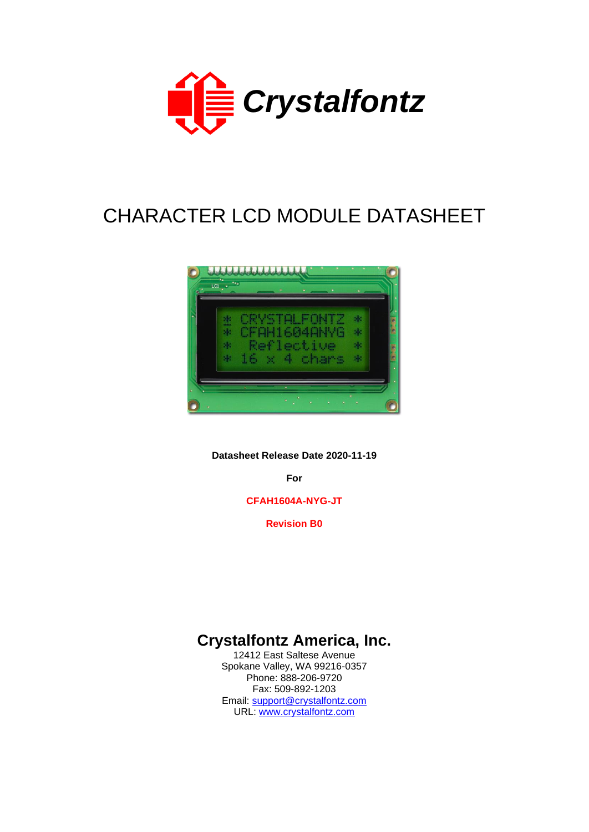

# CHARACTER LCD MODULE DATASHEET



**Datasheet Release Date 2020-11-19**

**For**

**CFAH1604A-NYG-JT**

**Revision B0**

# **Crystalfontz America, Inc.**

12412 East Saltese Avenue Spokane Valley, WA 99216-0357 Phone: 888-206-9720 Fax: 509-892-1203 Email: [support@crystalfontz.com](mailto:support@crystalfontz.com) URL: [www.crystalfontz.com](http://www.crystalfontz.com/)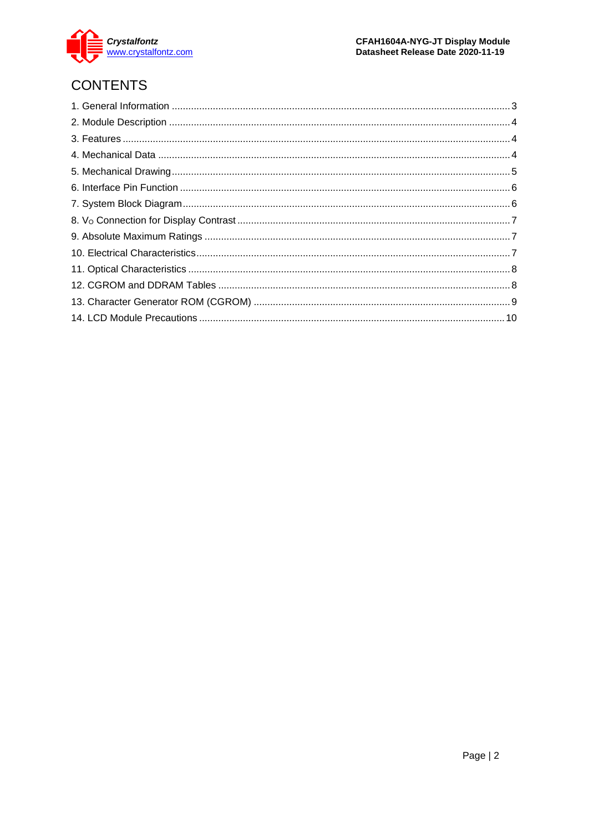

# **CONTENTS**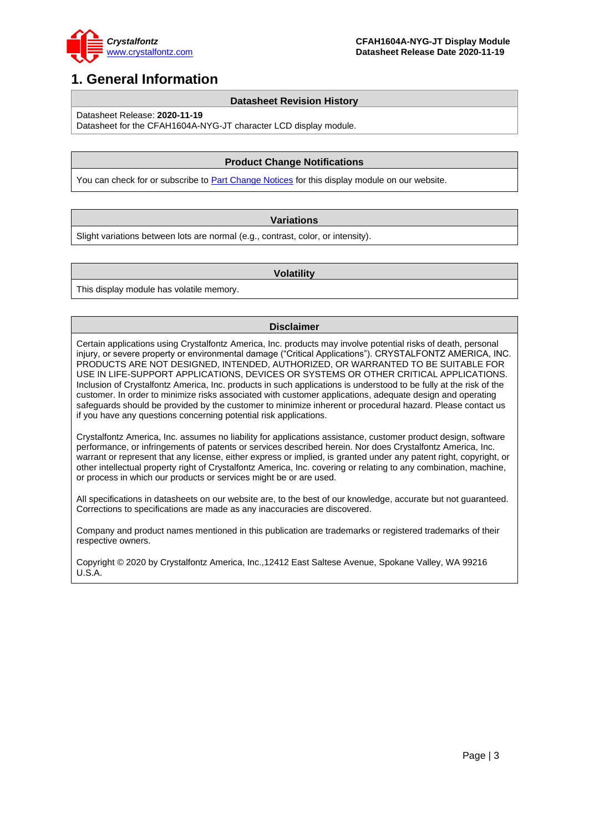

## <span id="page-2-0"></span>**1. General Information**

#### **Datasheet Revision History**

Datasheet Release: **2020-11-19**

Datasheet for the CFAH1604A-NYG-JT character LCD display module.

### **Product Change Notifications**

You can check for or subscribe to **Part Change Notices** for this display module on our website.

#### **Variations**

Slight variations between lots are normal (e.g., contrast, color, or intensity).

#### **Volatility**

This display module has volatile memory.

#### **Disclaimer**

Certain applications using Crystalfontz America, Inc. products may involve potential risks of death, personal injury, or severe property or environmental damage ("Critical Applications"). CRYSTALFONTZ AMERICA, INC. PRODUCTS ARE NOT DESIGNED, INTENDED, AUTHORIZED, OR WARRANTED TO BE SUITABLE FOR USE IN LIFE-SUPPORT APPLICATIONS, DEVICES OR SYSTEMS OR OTHER CRITICAL APPLICATIONS. Inclusion of Crystalfontz America, Inc. products in such applications is understood to be fully at the risk of the customer. In order to minimize risks associated with customer applications, adequate design and operating safeguards should be provided by the customer to minimize inherent or procedural hazard. Please contact us if you have any questions concerning potential risk applications.

Crystalfontz America, Inc. assumes no liability for applications assistance, customer product design, software performance, or infringements of patents or services described herein. Nor does Crystalfontz America, Inc. warrant or represent that any license, either express or implied, is granted under any patent right, copyright, or other intellectual property right of Crystalfontz America, Inc. covering or relating to any combination, machine, or process in which our products or services might be or are used.

All specifications in datasheets on our website are, to the best of our knowledge, accurate but not guaranteed. Corrections to specifications are made as any inaccuracies are discovered.

Company and product names mentioned in this publication are trademarks or registered trademarks of their respective owners.

Copyright © 2020 by Crystalfontz America, Inc.,12412 East Saltese Avenue, Spokane Valley, WA 99216 U.S.A.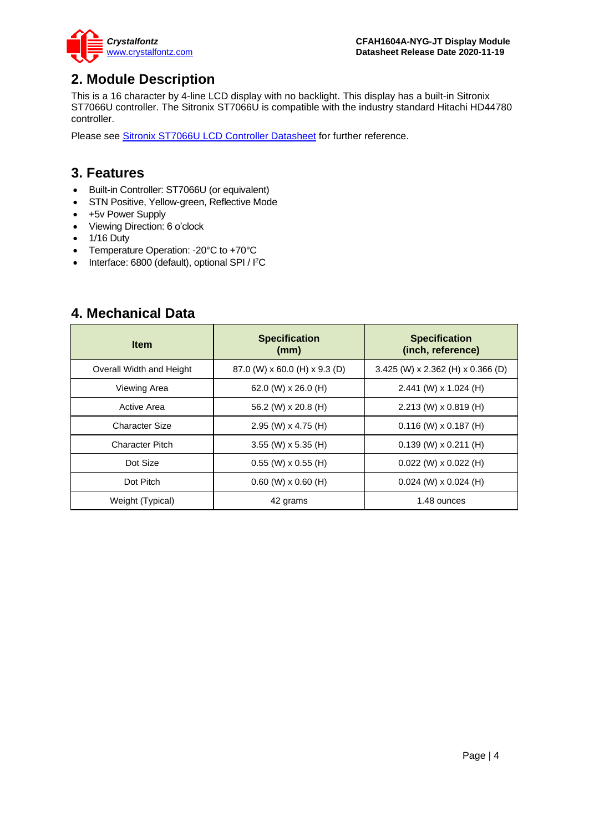

### <span id="page-3-0"></span>**2. Module Description**

This is a 16 character by 4-line LCD display with no backlight. This display has a built-in Sitronix ST7066U controller. The Sitronix ST7066U is compatible with the industry standard Hitachi HD44780 controller.

Please see [Sitronix ST7066U LCD Controller Datasheet](https://www.crystalfontz.com/controllers/Sitronix/ST7066U) for further reference.

### <span id="page-3-1"></span>**3. Features**

- Built-in Controller: ST7066U (or equivalent)
- STN Positive, Yellow-green, Reflective Mode
- +5v Power Supply
- Viewing Direction: 6 o'clock
- 1/16 Duty
- Temperature Operation: -20°C to +70°C
- Interface: 6800 (default), optional SPI / I<sup>2</sup>C

### <span id="page-3-2"></span>**4. Mechanical Data**

| <b>Item</b>              | <b>Specification</b><br>(mm)  | <b>Specification</b><br>(inch, reference) |
|--------------------------|-------------------------------|-------------------------------------------|
| Overall Width and Height | 87.0 (W) x 60.0 (H) x 9.3 (D) | $3.425$ (W) x 2.362 (H) x 0.366 (D)       |
| Viewing Area             | 62.0 (W) $\times$ 26.0 (H)    | 2.441 (W) x 1.024 (H)                     |
| Active Area              | 56.2 (W) x 20.8 (H)           | 2.213 (W) x 0.819 (H)                     |
| <b>Character Size</b>    | 2.95 (W) $\times$ 4.75 (H)    | $0.116$ (W) x $0.187$ (H)                 |
| <b>Character Pitch</b>   | $3.55$ (W) x 5.35 (H)         | $0.139$ (W) x 0.211 (H)                   |
| Dot Size                 | $0.55$ (W) x $0.55$ (H)       | $0.022$ (W) x $0.022$ (H)                 |
| Dot Pitch                | $0.60$ (W) x $0.60$ (H)       | $0.024$ (W) x $0.024$ (H)                 |
| Weight (Typical)         | 42 grams                      | 1.48 ounces                               |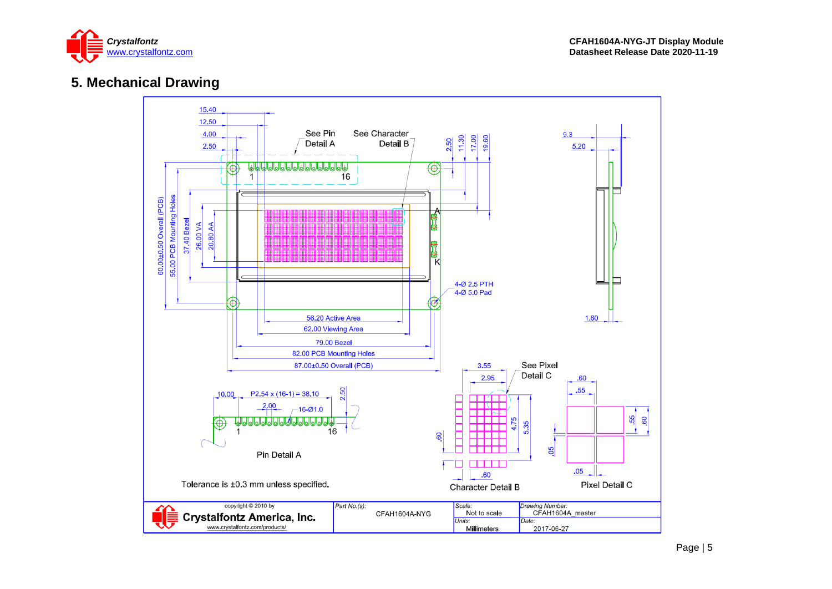

### **5. Mechanical Drawing**

<span id="page-4-0"></span>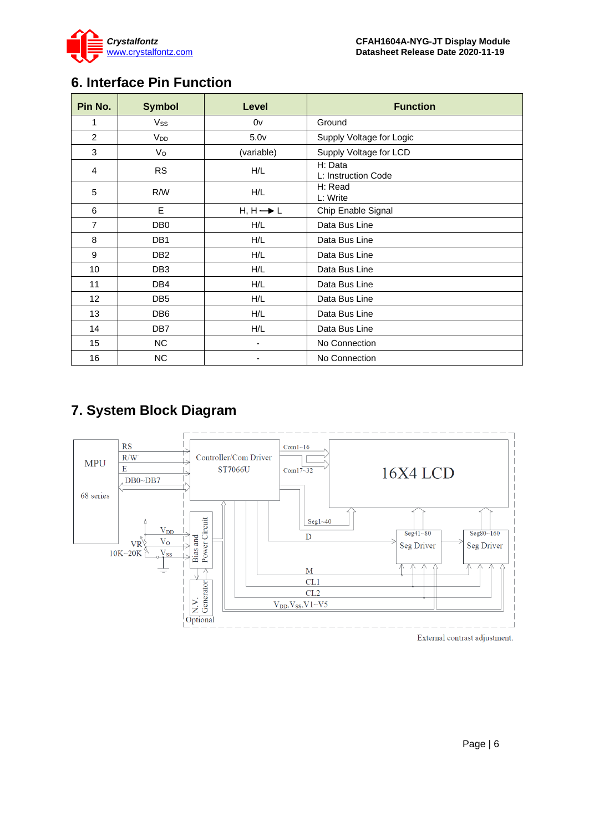

# <span id="page-5-0"></span>**6. Interface Pin Function**

| Pin No.           | <b>Symbol</b>         | Level                | <b>Function</b>                |
|-------------------|-----------------------|----------------------|--------------------------------|
| 1                 | <b>Vss</b>            | 0v                   | Ground                         |
| $\overline{2}$    | <b>V<sub>DD</sub></b> | 5.0 <sub>V</sub>     | Supply Voltage for Logic       |
| 3                 | $V_{\rm O}$           | (variable)           | Supply Voltage for LCD         |
| 4                 | <b>RS</b>             | H/L                  | H: Data<br>L: Instruction Code |
| 5                 | R/W                   | H/L                  | H: Read<br>L: Write            |
| 6                 | E                     | $H, H \rightarrow L$ | Chip Enable Signal             |
| $\overline{7}$    | DB <sub>0</sub>       | H/L                  | Data Bus Line                  |
| 8                 | DB <sub>1</sub>       | H/L                  | Data Bus Line                  |
| 9                 | DB <sub>2</sub>       | H/L                  | Data Bus Line                  |
| 10                | DB <sub>3</sub>       | H/L                  | Data Bus Line                  |
| 11                | DB4                   | H/L                  | Data Bus Line                  |
| $12 \overline{ }$ | DB <sub>5</sub>       | H/L                  | Data Bus Line                  |
| 13                | DB <sub>6</sub>       | H/L                  | Data Bus Line                  |
| 14                | DB <sub>7</sub>       | H/L                  | Data Bus Line                  |
| 15                | <b>NC</b>             |                      | No Connection                  |
| 16                | <b>NC</b>             |                      | No Connection                  |

# <span id="page-5-1"></span>**7. System Block Diagram**

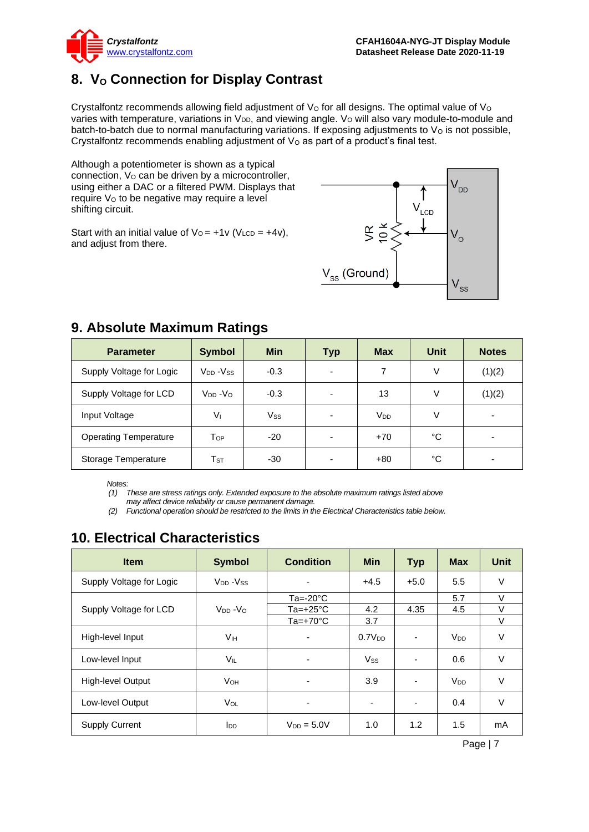

# <span id="page-6-0"></span>**8. V<sup>O</sup> Connection for Display Contrast**

Crystalfontz recommends allowing field adjustment of  $V<sub>O</sub>$  for all designs. The optimal value of  $V<sub>O</sub>$ varies with temperature, variations in  $V_{DD}$ , and viewing angle.  $V_{O}$  will also vary module-to-module and batch-to-batch due to normal manufacturing variations. If exposing adjustments to  $V<sub>O</sub>$  is not possible, Crystalfontz recommends enabling adjustment of  $V<sub>O</sub>$  as part of a product's final test.

Although a potentiometer is shown as a typical connection, V<sub>o</sub> can be driven by a microcontroller, using either a DAC or a filtered PWM. Displays that require V<sub>o</sub> to be negative may require a level shifting circuit.

Start with an initial value of  $V_0 = +1v$  (V<sub>LCD</sub> =  $+4v$ ), and adjust from there.



| <b>Parameter</b>             | <b>Symbol</b>              | <b>Min</b> | <b>Typ</b>               | <b>Max</b>      | Unit | <b>Notes</b> |
|------------------------------|----------------------------|------------|--------------------------|-----------------|------|--------------|
| Supply Voltage for Logic     | $V_{DD} - V_{SS}$          | $-0.3$     | -                        | 7               | V    | (1)(2)       |
| Supply Voltage for LCD       | $V_{DD} - V_{O}$           | $-0.3$     | $\overline{\phantom{0}}$ | 13              | V    | (1)(2)       |
| Input Voltage                | $V_{1}$                    | Vss        |                          | V <sub>DD</sub> | V    |              |
| <b>Operating Temperature</b> | $\mathsf{T}_{\mathsf{OP}}$ | $-20$      | $\overline{\phantom{0}}$ | $+70$           | °C   |              |
| Storage Temperature          | $\mathsf{T}_{\texttt{ST}}$ | $-30$      |                          | $+80$           | °C   |              |

## <span id="page-6-1"></span>**9. Absolute Maximum Ratings**

*Notes:*

*(1) These are stress ratings only. Extended exposure to the absolute maximum ratings listed above* 

*may affect device reliability or cause permanent damage.* 

*(2) Functional operation should be restricted to the limits in the Electrical Characteristics table below.*

# <span id="page-6-2"></span>**10. Electrical Characteristics**

| <b>Item</b>              | <b>Symbol</b>          | <b>Condition</b>         | <b>Min</b>               | <b>Typ</b> | <b>Max</b>            | <b>Unit</b> |
|--------------------------|------------------------|--------------------------|--------------------------|------------|-----------------------|-------------|
| Supply Voltage for Logic | $V_{DD} - V_{SS}$      | $\overline{\phantom{a}}$ | $+4.5$                   | $+5.0$     | 5.5                   | V           |
|                          |                        | $Ta = -20^{\circ}C$      |                          |            | 5.7                   | V           |
| Supply Voltage for LCD   | $V_{DD} - V_{O}$       | Ta=+25 $^{\circ}$ C      | 4.2                      | 4.35       | 4.5                   | V           |
|                          |                        | $Ta=+70^{\circ}C$        | 3.7                      |            |                       | $\vee$      |
| High-level Input         | V <sub>IH</sub>        |                          | 0.7V <sub>DD</sub>       |            | <b>V<sub>DD</sub></b> | V           |
| Low-level Input          | $V_{IL}$               | $\overline{\phantom{a}}$ | $V_{SS}$                 | ٠          | 0.6                   | V           |
| High-level Output        | <b>V</b> он            | ٠                        | 3.9                      | ٠          | <b>V<sub>DD</sub></b> | $\vee$      |
| Low-level Output         | VOL                    | $\overline{\phantom{0}}$ | $\overline{\phantom{0}}$ | ٠          | 0.4                   | V           |
| <b>Supply Current</b>    | <b>I</b> <sub>DD</sub> | $V_{DD} = 5.0V$          | 1.0                      | 1.2        | 1.5                   | mA          |

Page | 7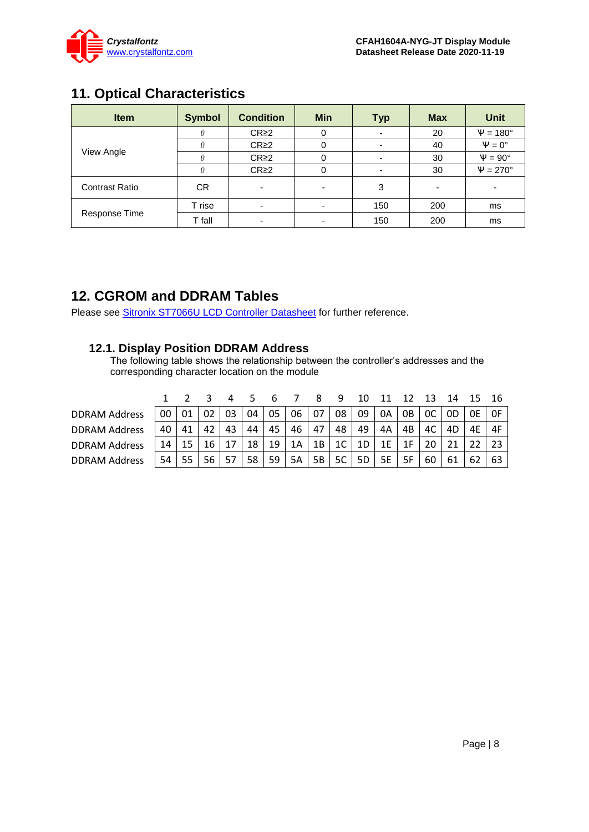

# <span id="page-7-0"></span>**11. Optical Characteristics**

| <b>Item</b>           | <b>Symbol</b> | <b>Condition</b> | <b>Min</b>               | <b>Typ</b> | <b>Max</b> | <b>Unit</b>        |
|-----------------------|---------------|------------------|--------------------------|------------|------------|--------------------|
|                       |               | CR <sub>2</sub>  |                          |            | 20         | $\Psi = 180^\circ$ |
|                       |               | CR <sub>2</sub>  |                          |            | 40         | $\Psi = 0^\circ$   |
| View Angle            |               | CR <sub>2</sub>  |                          |            | 30         | $\Psi = 90^\circ$  |
|                       | Ĥ             | CR <sub>2</sub>  |                          |            | 30         | $\Psi = 270^\circ$ |
| <b>Contrast Ratio</b> | CR            |                  | -                        | 3          |            |                    |
|                       | T rise        |                  | $\overline{\phantom{0}}$ | 150        | 200        | ms                 |
| Response Time         | T fall        | -                | -                        | 150        | 200        | ms                 |

### <span id="page-7-1"></span>**12. CGROM and DDRAM Tables**

Please see [Sitronix ST7066U LCD Controller Datasheet](https://www.crystalfontz.com/controllers/Sitronix/ST7066U) for further reference.

### **12.1. Display Position DDRAM Address**

The following table shows the relationship between the controller's addresses and the corresponding character location on the module

|                      |    |    |    |    |    |    |    |     | q              |    |    |    |      |     | - 15 |    |
|----------------------|----|----|----|----|----|----|----|-----|----------------|----|----|----|------|-----|------|----|
| <b>DDRAM Address</b> | 00 | 01 | 02 | 03 | 04 | 05 | 06 | -07 | 08             | 09 | 0A | 0B | $OC$ | -OD | 0E   | 0F |
| <b>DDRAM Address</b> | 40 | 41 | 42 | 43 | 44 | 45 | 46 | 47  | 48             | 49 | 4A | 4B | 4C   | 4D  | 4E   | 4F |
| <b>DDRAM Address</b> | 14 | 15 | 16 |    | 18 | 19 | 1A | 1B  | 1 <sup>C</sup> | 1D | 1E |    |      |     |      |    |
| <b>DDRAM Address</b> | 54 | 55 | 56 | 57 | 58 | 59 | 5A | 5B  | 5C             | 5D | 5E | 5F | 60   | 61  | -62  | 63 |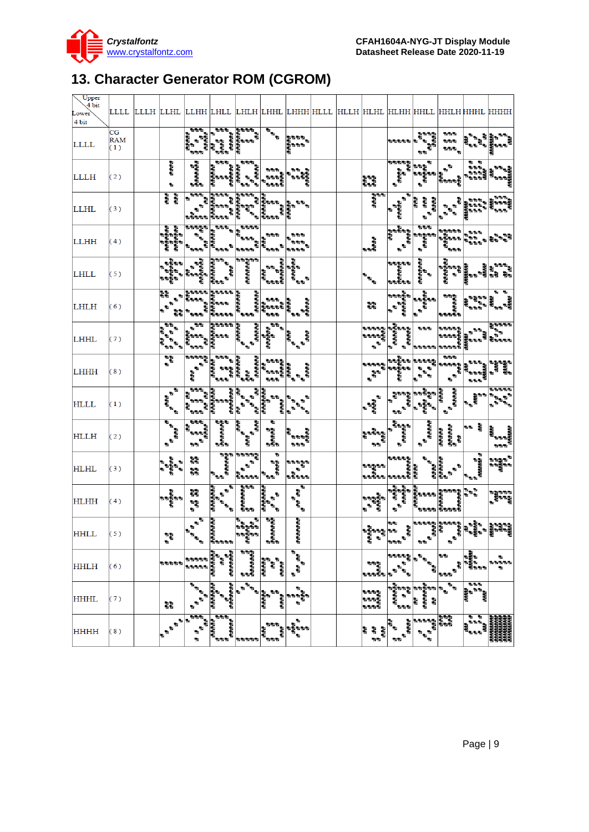

# <span id="page-8-0"></span>**13. Character Generator ROM (CGROM)**

| Upper<br>4 bit<br>Lower<br>4 bit |                         |                                                                                                                                                                     |                                                    |                                                                            |                                                                                                        |                                                                                                                                                                                                                                                                                                                                                                                                                                                  |                                                                                                                                                                     |  |                                                    |                                              |                                                                                                                    |                                                              |                                                                                                                                                                       | LLLL LLLH LLHL LLHH LHLL LHLH LHHL LHHH HLLL HLLH HLHL HLHH HHLL HHLH HHHL HHHH                                                                                                           |
|----------------------------------|-------------------------|---------------------------------------------------------------------------------------------------------------------------------------------------------------------|----------------------------------------------------|----------------------------------------------------------------------------|--------------------------------------------------------------------------------------------------------|--------------------------------------------------------------------------------------------------------------------------------------------------------------------------------------------------------------------------------------------------------------------------------------------------------------------------------------------------------------------------------------------------------------------------------------------------|---------------------------------------------------------------------------------------------------------------------------------------------------------------------|--|----------------------------------------------------|----------------------------------------------|--------------------------------------------------------------------------------------------------------------------|--------------------------------------------------------------|-----------------------------------------------------------------------------------------------------------------------------------------------------------------------|-------------------------------------------------------------------------------------------------------------------------------------------------------------------------------------------|
| <b>LLLL</b>                      | CG<br><b>RAM</b><br>(1) |                                                                                                                                                                     | 학년간<br>י<br>השפשה<br>ъ<br>b b b                    | ಕಾಶಿ ಕಾಶಿಕಾ<br>ಕಾಶಿಕಾಶಿಕಾಶ<br>ಕಾಶಿಕಾಶಿಕಾಶಿ<br>ಕಾಶಿಕಾಶಿಕಾಶಿ<br>ಕಾಶಿಕಾಶಿಕಾಶಿ | ī,                                                                                                     | $\mathbf{e}_{\mathbf{e}_{\mathbf{e}}}$                                                                                                                                                                                                                                                                                                                                                                                                           | <b>BOOK</b><br>ត្តិ<br>ខ្ញុំមានស                                                                                                                                    |  |                                                    | 555555                                       | a bay<br>動動                                                                                                        | ъъъ<br>555<br>.<br>Nati                                      | is.                                                                                                                                                                   |                                                                                                                                                                                           |
| <b>LLLH</b>                      | (2)                     | <b>BRAN</b><br>動                                                                                                                                                    | <b>BARBARA</b>                                     | ್ಯ ಕಾಶ್ಮೀಕರ್<br>ಕಾಶ್ಮೀಕರ್ತರ ಕಾಶ್ಮೀಕರ್<br>ಕಾಶ್ಮೀಕರ್ಶಕರ                      | , , ,<br>, , , , , ,<br>, , , , , , ,<br>, , , , , ,<br>Ь                                              | ה שפתי<br>לפי שפ                                                                                                                                                                                                                                                                                                                                                                                                                                 | ъ'n<br>ad<br>Laura                                                                                                                                                  |  | as<br>Bas                                          | 출연관 <i>연</i><br>관<br>관 - 관<br>a<br>Baas      | Р<br>n<br>Bar<br>a<br>Papa<br>Papa                                                                                 | $\mathbf{r}^{\mathbf{b}}$<br>ia<br>Baasa                     | <b>P P</b><br>anda<br>Maria<br>Maria                                                                                                                                  | 하는 여자<br>불마리                                                                                                                                                                              |
| <b>LLHL</b>                      | (3)                     | ana<br>Ba                                                                                                                                                           | 555                                                | nas<br>Roma<br>Roma                                                        | ł,<br>٩,                                                                                               |                                                                                                                                                                                                                                                                                                                                                                                                                                                  |                                                                                                                                                                     |  | a<br>B<br>B                                        | ъ<br>PARATA<br>Р                             | dia a<br><b>Popular</b><br>$\mathbf{r}$<br>ъ                                                                       | ъ<br>ъ<br>ъ                                                  | a a a<br>in din s                                                                                                                                                     | a a a                                                                                                                                                                                     |
| <b>LLHH</b>                      | (4)                     | B                                                                                                                                                                   | 电电话电话<br>o o o                                     | <b>BBB</b><br>ear<br>Barata<br>.<br>BBB                                    | 无影影影<br>ъъъ<br>h,<br><b>NOW</b>                                                                        | a a a                                                                                                                                                                                                                                                                                                                                                                                                                                            | <b>bob</b><br><b>baab</b>                                                                                                                                           |  | l<br>aas                                           | a papa<br>Papa<br>Papa<br>$\mathbf{r}$       | 内向内<br>ing<br>Baasa<br>B                                                                                           | anaan<br>ראשונה<br>השירות של<br>השירות                       | <b>STS</b><br>$\mathbb{R}^n$<br><b>STOR</b>                                                                                                                           |                                                                                                                                                                                           |
| <b>LHLL</b>                      | (5)                     | 西方西方<br>ъ<br>a a Ra                                                                                                                                                 |                                                    | ಕಾಶ್ಮಾನ ಕಾಶ್ಮ<br>ಕಾಶ್ಮಾನ ಕಾಶ್ಮಾನ<br>ಕಾಶ್ಮಾನ ಕಾಶ್ಮಾನ<br>ಕಾಶ್ಮಾನ ಕಾಶ್ಮಾನ     |                                                                                                        | ್ಯ ಸಮಾನ<br>ಕಾರ್ಮಿಕ<br>ಕಾರಣದಿಂತ                                                                                                                                                                                                                                                                                                                                                                                                                   | <b>Alternative Contracts</b><br>Branches Contracts<br>Contracts Contracts Contracts Contracts Contracts Contracts Contracts Contracts Contracts Contracts Contracts |  |                                                    | ಕ್ಕೆ ಕೆ<br>ಕೆಳೆಕೆಕೆಕೆಕೆಕೆ<br>ಕೆಳೆಕೆಕೆಕೆಕೆಕೆ  | ਰਵਰਦਰ ਦੇ ਹੱਤ<br>ਹਵਾਲੇ ਦਰਜਨਾ                                                                                        | ್ಯ ಕ್ಷೇತ್ರ<br>ಆರಂಭವಾದ<br>ಕ್ಷೇತ್ರಗಳು                          |                                                                                                                                                                       |                                                                                                                                                                                           |
| <b>LHLH</b>                      | (6)                     | RR<br>ъ<br>ъ<br>۳s                                                                                                                                                  |                                                    |                                                                            | <b>Contact Services</b>                                                                                | ▏▙▙▙▕▙<br>▕▙▙▙▙▋▓<br>▐▙▙▙▊▕▙▙▜                                                                                                                                                                                                                                                                                                                                                                                                                   | i<br>Paratas<br>.                                                                                                                                                   |  | 쨇                                                  | $\mathbf{r}_\mathrm{a}$                      | $\begin{bmatrix} \frac{p}{p} & \frac{p}{p} & \frac{p}{p} \\ \frac{p}{p} & \frac{p}{p} & \frac{p}{p} \end{bmatrix}$ | ももももも<br>ちちももももも<br>ちちもももも                                   | r,<br>.<br>Brand                                                                                                                                                      | a<br>Banan<br>Banan                                                                                                                                                                       |
| LHHL                             | (7)                     | ЪЪ<br>看<br>B<br>Baa<br>$\mathbf{z}_q$                                                                                                                               | ЪЪ<br>o o o<br>ì.<br>'s sie                        | <b>SPARE</b><br>n<br>Road<br>Road                                          | o<br>Preference<br>Preference<br><b>Page</b>                                                           | $\overline{\mathbf{w}}_{\mathbf{b}}$<br>$\begin{bmatrix} \frac{1}{2} & \frac{1}{2} & \frac{1}{2} & \frac{1}{2} & \frac{1}{2} & \frac{1}{2} & \frac{1}{2} & \frac{1}{2} & \frac{1}{2} & \frac{1}{2} & \frac{1}{2} & \frac{1}{2} & \frac{1}{2} & \frac{1}{2} & \frac{1}{2} & \frac{1}{2} & \frac{1}{2} & \frac{1}{2} & \frac{1}{2} & \frac{1}{2} & \frac{1}{2} & \frac{1}{2} & \frac{1}{2} & \frac{1}{2} & \frac{1}{2} & \frac{1}{2} & \frac{1}{2$ | aga<br>aga<br>d dia                                                                                                                                                 |  | 55555<br>ล<br>สูติศตริต<br>$\overline{\mathbf{b}}$ | ,<br>"aaaaaa<br>"aaaaa<br>P.<br>ъ            | รรษ จัดรอง<br>รายลูก<br>รายลูก<br>รายลูก รายลูก รายลูก                                                             |                                                              |                                                                                                                                                                       | <b>SOSSS</b><br><b>Bases</b>                                                                                                                                                              |
| <b>LHHH</b>                      | (8)                     | 학<br>Đ.                                                                                                                                                             | gaaaa<br>畅                                         | $\overline{\mathbf{v}^{\mathbf{b}\mathbf{b}}}\mathbf{v}$<br><b>b</b> b b   | ಕ್ಷ್ಮ ಕಾರ್ಮಿಕರ್<br>ಕಾರ್ಮಿಕರ್ ಕ್ಷ್ಮ ಕಾರ್ಮಿಕರ್<br>ಕಾರ್ಮಿಕರ್ ಕ್ಷ್ಮ ಕಾರ್ಮಿಕರ್<br>ಕಾರ್ಮಿಕರ್ ಕ್ಷ್ಮ ಕಾರ್ಮಿಕರ್ | a a a a<br>A                                                                                                                                                                                                                                                                                                                                                                                                                                     | שישים<br>גישון הייתה<br>הייתה הייתה<br>הייתה הייתה                                                                                                                  |  | a a a a a                                          | - 555                                        | <b>BREE</b><br>ъ.<br>點<br>$\mathbf{b}_{\mathbf{q}_0}$<br>ъ,<br>٠.                                                  | ъъъ<br>a <sup>nana</sup> a<br>a<br>$\mathbf{h}^{\mathbf{b}}$ | ass.<br>大阪市                                                                                                                                                           |                                                                                                                                                                                           |
| <b>HLLL</b>                      | (1)                     | $\overline{\mathbf{r}}$<br>$\frac{d^2dx}{dt^2}$                                                                                                                     | - 55<br>P.<br><b>SSS</b><br>i.<br>B<br><b>SIGN</b> | ಕಕಕಕಕಕಕ<br>ಕ<br>ಕಕಕಕಕಕಕ                                                    | <b>Hara</b><br>Anglan<br>Anglan<br>$\frac{1}{2}$                                                       | समसम्बन्धः<br>स<br><b>W</b><br>a a an                                                                                                                                                                                                                                                                                                                                                                                                            | 動<br>ъ.<br>$\mathbf{r}_{\mathbf{q}}$<br>l Ba                                                                                                                        |  | 畅<br>eran<br>Ban<br>ъ                              | a <sup>aaa</sup> a<br>a<br>ъ<br>$\mathbf{b}$ | e<br>Bana<br>ъ                                                                                                     | 39999<br><b>BLAND</b><br>$\mathbf{b}^{\mathbf{b}}$           | $\begin{array}{c} \mathbb{E} \left\  \mathbb{E} \right\ _2^2 \\ \mathbb{E} \left\  \mathbb{E} \right\ _2^2 \\ \mathbb{E} \left\  \mathbb{E} \right\ _2^2 \end{array}$ | $\mathbf{b}^{\mathbf{b}}$                                                                                                                                                                 |
| <b>HLLH</b>                      | (2)                     | $\begin{bmatrix} \mathbf{p}^2\mathbf{p}^2\mathbf{p}^2\end{bmatrix}$<br>$\mathbf{r}$                                                                                 | to to to<br>ש<br>פייפי<br>פייפי<br>ъъ <sup>ъ</sup> | もちちちちちち                                                                    |                                                                                                        | in the first second to the first second to the first second to the first second to the first second to the first second to the first second to the first second to the first second to the first second to the first second to                                                                                                                                                                                                                   | e<br>Prop<br><b>Bab</b>                                                                                                                                             |  | ו השפשי<br>קשישים<br>ъъ                            | e e e e<br>E e e e e<br>E                    | <b>Barbara</b><br>Barbara<br>B                                                                                     |                                                              | ≈∍ ≹                                                                                                                                                                  | e<br>Particular<br><b>SSS</b>                                                                                                                                                             |
| <b>HLHL</b>                      | (3)                     | $\begin{array}{cc} \mathbf{1} & \mathbf{1} \\ \mathbf{1} & \mathbf{1} \\ \mathbf{1} & \mathbf{1} \\ \mathbf{1} & \mathbf{1} \\ \mathbf{1} & \mathbf{1} \end{array}$ | 꾫<br>კ                                             | i<br>Managangan<br>Managangan                                              | <b>Baasa</b><br>ъ<br>n<br>Bobbb                                                                        | ъ<br>aaaa<br>B<br>e.                                                                                                                                                                                                                                                                                                                                                                                                                             | 리얼리리리<br>ł.<br>bstr                                                                                                                                                 |  | งของ<br>อื่น<br>อออิน                              | รรธรร<br>ของ<br>รรธรร<br>ร                   | ŧ.<br><b>Holas</b>                                                                                                 | 動物動物 ()<br>動物動物<br>$\mathbf{r}$                              | $\mathbf{r}$<br>Particular<br>$\mathbf{z}_{\mathrm{b}b}$                                                                                                              | <b><i>Baga</i></b><br>Bagaa<br>Bagaa                                                                                                                                                      |
| <b>HLHH</b>                      | (4)                     |                                                                                                                                                                     | 器<br>결<br>ъ                                        | सम्बन्धसम्<br>स<br>$\mathbf{r}$                                            | ราย<br>อิงคริสต์<br>อิงคริสต์                                                                          | कसम्बनसम्<br>ज<br>$\mathbf{r}^{\mathbf{N}}$<br>$\mathbf{z}_n$                                                                                                                                                                                                                                                                                                                                                                                    | ъ<br>Ę.<br>a<br>Ba                                                                                                                                                  |  |                                                    | $\mathbf{e}^{\mathbf{b}}$                    | ちゅうしゅう しゅうきょう しゅうしゅう ちゅうしゅう しゅうしゅう しゅうしゅう しゅうしゅう しゅうしゅう しゅうしゅう しゅうしゅう しゅうしゅう しゅうしゅう                                |                                                              | e e<br>e                                                                                                                                                              | รัฐธรร<br>สูตรสิ<br>พ                                                                                                                                                                     |
| <b>HHLL</b>                      | (5)                     | ъъ<br>ъ                                                                                                                                                             | $\mathbf{h}^{\mathbf{B}}$<br>P.<br>ъ               | 19999<br>55555                                                             | na an<br>Banan<br>Banan<br>ť                                                                           | <b>Particular</b><br>ъāъ                                                                                                                                                                                                                                                                                                                                                                                                                         | 医胃胃胃胃                                                                                                                                                               |  | Ŧ,                                                 | <b>15 To</b><br>ang.<br>K                    | $\mathbf{w}$ $\mathbf{w}$                                                                                          | ъ                                                            |                                                                                                                                                                       | ತ್ತಿದೆ ಪ್ರಸ್ತೆ ರಶಿಶರನ್ನು ರಶಪಡಿಸ<br>ನಂತರ ಪ್ರಸ್ತೆ ಪ್ರಸ್ತೆ ಪ್ರಸ್ತೆ ಪ್ರಸ್ತೆ<br>ನಂತರ ಪ್ರಸ್ತೆ ಪ್ರಸ್ತೆ ಪ್ರಸ್ತೆ ಪ್ರಸ್ತೆ ಪ್ರಸ್ತೆ ಪ್ರಸ್ತೆ ಪ್ರಸ್ತೆ ಪ್ರಸ್ತೆ ಪ್ರಸ್ತೆ ಪ್ರಸ್ತೆ ಪ್ರಸ್ತೆ ಪ್ರಸ್ತೆ ಪ್ರಸ್ತೆ ಪ |
| <b>HHLH</b>                      | (6)                     | 74444                                                                                                                                                               | www.                                               |                                                                            | ชื่อข้อข้อข้อ<br>ข้อข้อข้อข้อข้อ                                                                       |                                                                                                                                                                                                                                                                                                                                                                                                                                                  | ţ<br>ъ                                                                                                                                                              |  | bbl<br>aasta                                       |                                              |                                                                                                                    | h Tu<br>٧.<br>u u u                                          | bbb                                                                                                                                                                   | ۷.<br>baab                                                                                                                                                                                |
| <b>HHHL</b>                      | (7)                     | 쨻                                                                                                                                                                   |                                                    |                                                                            |                                                                                                        |                                                                                                                                                                                                                                                                                                                                                                                                                                                  |                                                                                                                                                                     |  | a a a                                              |                                              |                                                                                                                    |                                                              | a a a                                                                                                                                                                 |                                                                                                                                                                                           |
| <b>HHHH</b>                      | (8)                     |                                                                                                                                                                     |                                                    |                                                                            |                                                                                                        | 955                                                                                                                                                                                                                                                                                                                                                                                                                                              |                                                                                                                                                                     |  | 55                                                 |                                              | 출력하다<br>탄                                                                                                          |                                                              | 囤                                                                                                                                                                     |                                                                                                                                                                                           |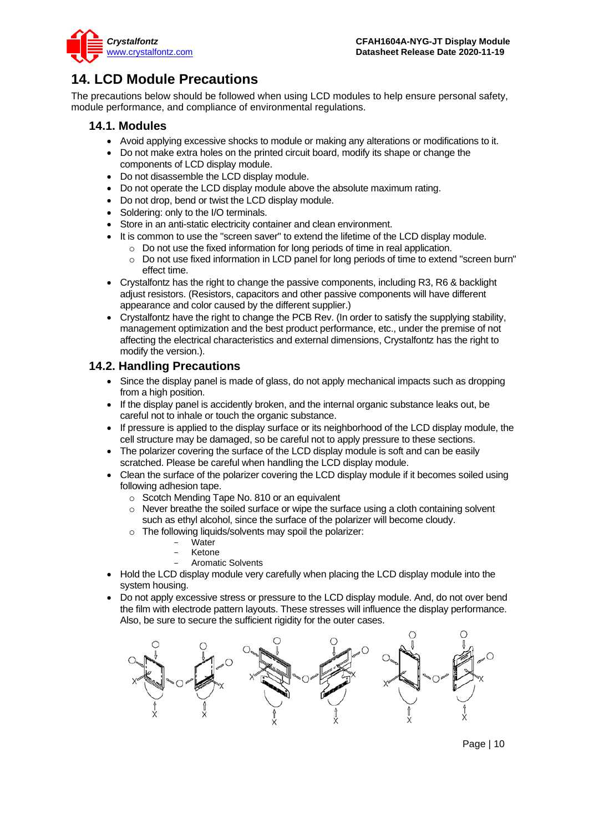

# <span id="page-9-0"></span>**14. LCD Module Precautions**

The precautions below should be followed when using LCD modules to help ensure personal safety, module performance, and compliance of environmental regulations.

### **14.1. Modules**

- Avoid applying excessive shocks to module or making any alterations or modifications to it.
- Do not make extra holes on the printed circuit board, modify its shape or change the components of LCD display module.
- Do not disassemble the LCD display module.
- Do not operate the LCD display module above the absolute maximum rating.
- Do not drop, bend or twist the LCD display module.
- Soldering: only to the I/O terminals.
- Store in an anti-static electricity container and clean environment.
- It is common to use the "screen saver" to extend the lifetime of the LCD display module.
	- $\circ$  Do not use the fixed information for long periods of time in real application.
	- o Do not use fixed information in LCD panel for long periods of time to extend "screen burn" effect time.
- Crystalfontz has the right to change the passive components, including R3, R6 & backlight adjust resistors. (Resistors, capacitors and other passive components will have different appearance and color caused by the different supplier.)
- Crystalfontz have the right to change the PCB Rev. (In order to satisfy the supplying stability, management optimization and the best product performance, etc., under the premise of not affecting the electrical characteristics and external dimensions, Crystalfontz has the right to modify the version.).

### **14.2. Handling Precautions**

- Since the display panel is made of glass, do not apply mechanical impacts such as dropping from a high position.
- If the display panel is accidently broken, and the internal organic substance leaks out, be careful not to inhale or touch the organic substance.
- If pressure is applied to the display surface or its neighborhood of the LCD display module, the cell structure may be damaged, so be careful not to apply pressure to these sections.
- The polarizer covering the surface of the LCD display module is soft and can be easily scratched. Please be careful when handling the LCD display module.
- Clean the surface of the polarizer covering the LCD display module if it becomes soiled using following adhesion tape.
	- o Scotch Mending Tape No. 810 or an equivalent
	- o Never breathe the soiled surface or wipe the surface using a cloth containing solvent such as ethyl alcohol, since the surface of the polarizer will become cloudy.
	- o The following liquids/solvents may spoil the polarizer:
		- Water
		- **Ketone**
		- Aromatic Solvents
- Hold the LCD display module very carefully when placing the LCD display module into the system housing.
- Do not apply excessive stress or pressure to the LCD display module. And, do not over bend the film with electrode pattern layouts. These stresses will influence the display performance. Also, be sure to secure the sufficient rigidity for the outer cases.



Page | 10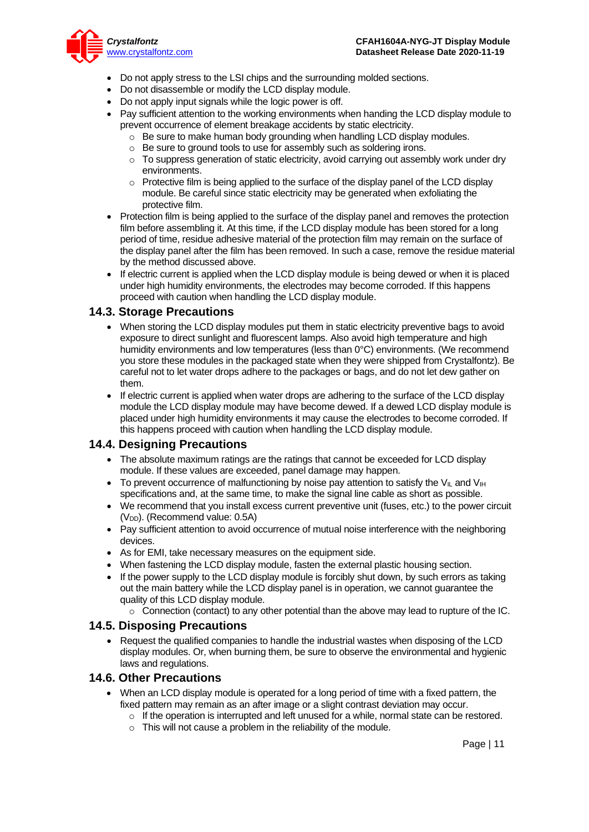

- Do not apply stress to the LSI chips and the surrounding molded sections.
- Do not disassemble or modify the LCD display module.
- Do not apply input signals while the logic power is off.
- Pay sufficient attention to the working environments when handing the LCD display module to prevent occurrence of element breakage accidents by static electricity.
	- o Be sure to make human body grounding when handling LCD display modules.
	- o Be sure to ground tools to use for assembly such as soldering irons.
	- $\circ$  To suppress generation of static electricity, avoid carrying out assembly work under dry environments.
	- $\circ$  Protective film is being applied to the surface of the display panel of the LCD display module. Be careful since static electricity may be generated when exfoliating the protective film.
- Protection film is being applied to the surface of the display panel and removes the protection film before assembling it. At this time, if the LCD display module has been stored for a long period of time, residue adhesive material of the protection film may remain on the surface of the display panel after the film has been removed. In such a case, remove the residue material by the method discussed above.
- If electric current is applied when the LCD display module is being dewed or when it is placed under high humidity environments, the electrodes may become corroded. If this happens proceed with caution when handling the LCD display module.

#### **14.3. Storage Precautions**

- When storing the LCD display modules put them in static electricity preventive bags to avoid exposure to direct sunlight and fluorescent lamps. Also avoid high temperature and high humidity environments and low temperatures (less than 0°C) environments. (We recommend you store these modules in the packaged state when they were shipped from Crystalfontz). Be careful not to let water drops adhere to the packages or bags, and do not let dew gather on them.
- If electric current is applied when water drops are adhering to the surface of the LCD display module the LCD display module may have become dewed. If a dewed LCD display module is placed under high humidity environments it may cause the electrodes to become corroded. If this happens proceed with caution when handling the LCD display module.

### **14.4. Designing Precautions**

- The absolute maximum ratings are the ratings that cannot be exceeded for LCD display module. If these values are exceeded, panel damage may happen.
- To prevent occurrence of malfunctioning by noise pay attention to satisfy the V<sub>II</sub> and V<sub>IH</sub> specifications and, at the same time, to make the signal line cable as short as possible.
- We recommend that you install excess current preventive unit (fuses, etc.) to the power circuit  $(V_{DD})$ . (Recommend value: 0.5A)
- Pay sufficient attention to avoid occurrence of mutual noise interference with the neighboring devices.
- As for EMI, take necessary measures on the equipment side.
- When fastening the LCD display module, fasten the external plastic housing section.
- If the power supply to the LCD display module is forcibly shut down, by such errors as taking out the main battery while the LCD display panel is in operation, we cannot guarantee the quality of this LCD display module.
	- $\circ$  Connection (contact) to any other potential than the above may lead to rupture of the IC.

#### **14.5. Disposing Precautions**

• Request the qualified companies to handle the industrial wastes when disposing of the LCD display modules. Or, when burning them, be sure to observe the environmental and hygienic laws and regulations.

#### **14.6. Other Precautions**

- When an LCD display module is operated for a long period of time with a fixed pattern, the fixed pattern may remain as an after image or a slight contrast deviation may occur.
	- $\circ$  If the operation is interrupted and left unused for a while, normal state can be restored.
	- $\circ$  This will not cause a problem in the reliability of the module.